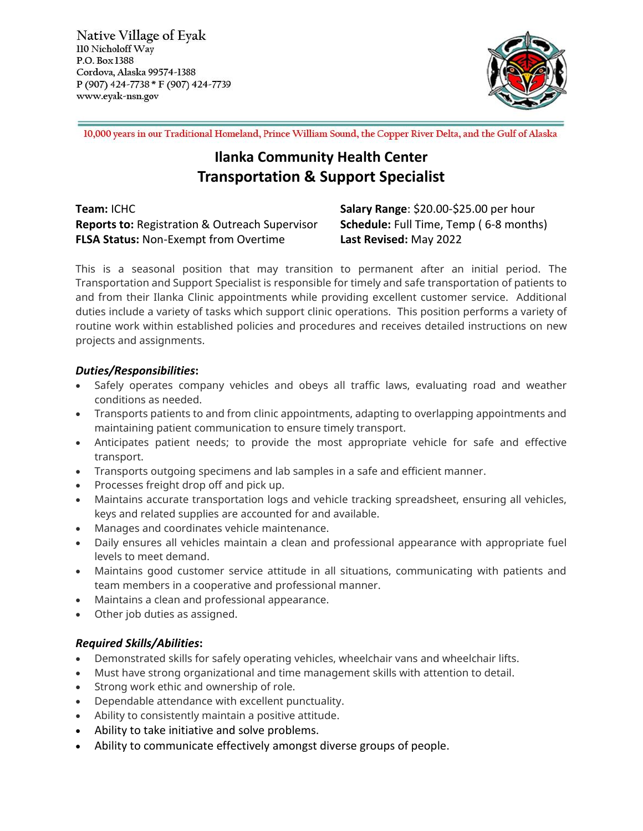Native Village of Eyak 110 Nicholoff Way P.O. Box 1388 Cordova, Alaska 99574-1388 P (907) 424-7738 \* F (907) 424-7739 www.eyak-nsn.gov



10,000 years in our Traditional Homeland, Prince William Sound, the Copper River Delta, and the Gulf of Alaska

# **Ilanka Community Health Center Transportation & Support Specialist**

**Team:** ICHC **Salary Range**: \$20.00-\$25.00 per hour **Reports to:** Registration & Outreach Supervisor **Schedule:** Full Time, Temp ( 6-8 months) **FLSA Status:** Non-Exempt from Overtime **Last Revised:** May 2022

This is a seasonal position that may transition to permanent after an initial period. The Transportation and Support Specialist is responsible for timely and safe transportation of patients to and from their Ilanka Clinic appointments while providing excellent customer service. Additional duties include a variety of tasks which support clinic operations. This position performs a variety of routine work within established policies and procedures and receives detailed instructions on new projects and assignments.

### *Duties/Responsibilities***:**

- Safely operates company vehicles and obeys all traffic laws, evaluating road and weather conditions as needed.
- Transports patients to and from clinic appointments, adapting to overlapping appointments and maintaining patient communication to ensure timely transport.
- Anticipates patient needs; to provide the most appropriate vehicle for safe and effective transport.
- Transports outgoing specimens and lab samples in a safe and efficient manner.
- Processes freight drop off and pick up.
- Maintains accurate transportation logs and vehicle tracking spreadsheet, ensuring all vehicles, keys and related supplies are accounted for and available.
- Manages and coordinates vehicle maintenance.
- Daily ensures all vehicles maintain a clean and professional appearance with appropriate fuel levels to meet demand.
- Maintains good customer service attitude in all situations, communicating with patients and team members in a cooperative and professional manner.
- Maintains a clean and professional appearance.
- Other job duties as assigned.

## *Required Skills/Abilities***:**

- Demonstrated skills for safely operating vehicles, wheelchair vans and wheelchair lifts.
- Must have strong organizational and time management skills with attention to detail.
- Strong work ethic and ownership of role.
- Dependable attendance with excellent punctuality.
- Ability to consistently maintain a positive attitude.
- Ability to take initiative and solve problems.
- Ability to communicate effectively amongst diverse groups of people.